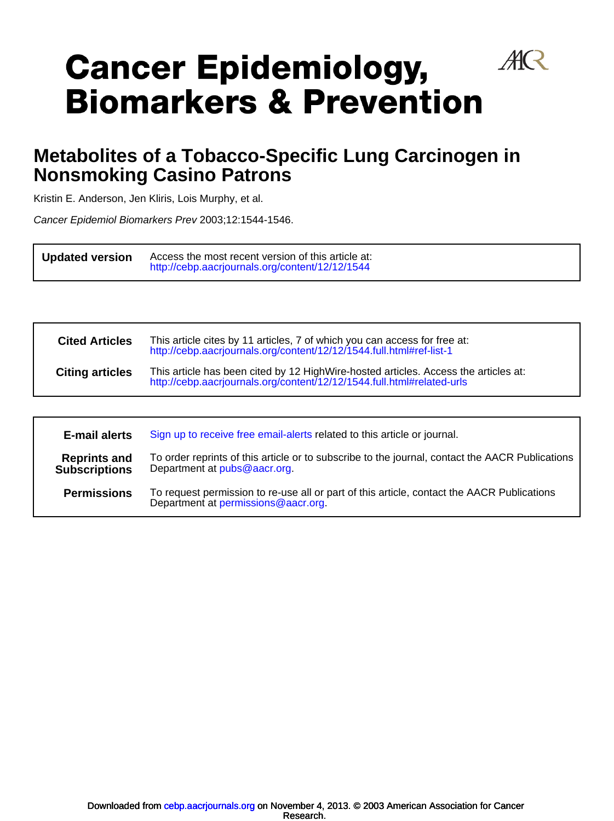# $A\!R$ **Cancer Epidemiology, Biomarkers & Prevention**

## **Nonsmoking Casino Patrons Metabolites of a Tobacco-Specific Lung Carcinogen in**

Kristin E. Anderson, Jen Kliris, Lois Murphy, et al.

l,

l,

Cancer Epidemiol Biomarkers Prev 2003;12:1544-1546.

**Updated version**  $\overline{a}$ <http://cebp.aacrjournals.org/content/12/12/1544> Access the most recent version of this article at:

| <b>Cited Articles</b>  | This article cites by 11 articles, 7 of which you can access for free at:<br>http://cebp.aacrjournals.org/content/12/12/1544.full.html#ref-list-1             |
|------------------------|---------------------------------------------------------------------------------------------------------------------------------------------------------------|
| <b>Citing articles</b> | This article has been cited by 12 HighWire-hosted articles. Access the articles at:<br>http://cebp.aacrjournals.org/content/12/12/1544.full.html#related-urls |
|                        |                                                                                                                                                               |

| E-mail alerts                               | Sign up to receive free email-alerts related to this article or journal.                                                         |
|---------------------------------------------|----------------------------------------------------------------------------------------------------------------------------------|
| <b>Reprints and</b><br><b>Subscriptions</b> | To order reprints of this article or to subscribe to the journal, contact the AACR Publications<br>Department at pubs@aacr.org.  |
| <b>Permissions</b>                          | To request permission to re-use all or part of this article, contact the AACR Publications<br>Department at permissions@aacr.org |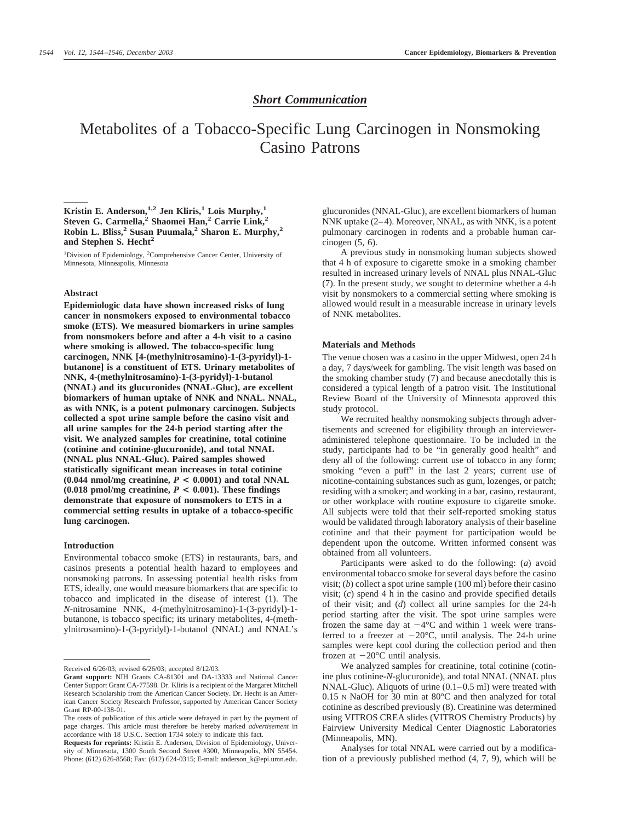#### *Short Communication*

### Metabolites of a Tobacco-Specific Lung Carcinogen in Nonsmoking Casino Patrons

#### **Kristin E. Anderson,1,2 Jen Kliris,1 Lois Murphy,1 Steven G. Carmella,<sup>2</sup> Shaomei Han,<sup>2</sup> Carrie Link,<sup>2</sup> Robin L. Bliss,2 Susan Puumala,2 Sharon E. Murphy,2** and Stephen S. Hecht<sup>2</sup>

<sup>1</sup>Division of Epidemiology, <sup>2</sup>Comprehensive Cancer Center, University of Minnesota, Minneapolis, Minnesota

#### **Abstract**

**Epidemiologic data have shown increased risks of lung cancer in nonsmokers exposed to environmental tobacco smoke (ETS). We measured biomarkers in urine samples from nonsmokers before and after a 4-h visit to a casino where smoking is allowed. The tobacco-specific lung carcinogen, NNK [4-(methylnitrosamino)-1-(3-pyridyl)-1 butanone] is a constituent of ETS. Urinary metabolites of NNK, 4-(methylnitrosamino)-1-(3-pyridyl)-1-butanol (NNAL) and its glucuronides (NNAL-Gluc), are excellent biomarkers of human uptake of NNK and NNAL. NNAL, as with NNK, is a potent pulmonary carcinogen. Subjects collected a spot urine sample before the casino visit and all urine samples for the 24-h period starting after the visit. We analyzed samples for creatinine, total cotinine (cotinine and cotinine-glucuronide), and total NNAL (NNAL plus NNAL-Gluc). Paired samples showed statistically significant mean increases in total cotinine (0.044 nmol/mg creatinine,** *P* **< 0.0001) and total NNAL (0.018 pmol/mg creatinine,** *P* **< 0.001). These findings demonstrate that exposure of nonsmokers to ETS in a commercial setting results in uptake of a tobacco-specific lung carcinogen.**

#### **Introduction**

Environmental tobacco smoke (ETS) in restaurants, bars, and casinos presents a potential health hazard to employees and nonsmoking patrons. In assessing potential health risks from ETS, ideally, one would measure biomarkers that are specific to tobacco and implicated in the disease of interest (1). The *N*-nitrosamine NNK, 4-(methylnitrosamino)-1-(3-pyridyl)-1 butanone, is tobacco specific; its urinary metabolites, 4-(methylnitrosamino)-1-(3-pyridyl)-1-butanol (NNAL) and NNAL's

glucuronides (NNAL-Gluc), are excellent biomarkers of human NNK uptake (2–4). Moreover, NNAL, as with NNK, is a potent pulmonary carcinogen in rodents and a probable human carcinogen (5, 6).

A previous study in nonsmoking human subjects showed that 4 h of exposure to cigarette smoke in a smoking chamber resulted in increased urinary levels of NNAL plus NNAL-Gluc (7). In the present study, we sought to determine whether a 4-h visit by nonsmokers to a commercial setting where smoking is allowed would result in a measurable increase in urinary levels of NNK metabolites.

#### **Materials and Methods**

The venue chosen was a casino in the upper Midwest, open 24 h a day, 7 days/week for gambling. The visit length was based on the smoking chamber study (7) and because anecdotally this is considered a typical length of a patron visit. The Institutional Review Board of the University of Minnesota approved this study protocol.

We recruited healthy nonsmoking subjects through advertisements and screened for eligibility through an intervieweradministered telephone questionnaire. To be included in the study, participants had to be "in generally good health" and deny all of the following: current use of tobacco in any form; smoking "even a puff" in the last 2 years; current use of nicotine-containing substances such as gum, lozenges, or patch; residing with a smoker; and working in a bar, casino, restaurant, or other workplace with routine exposure to cigarette smoke. All subjects were told that their self-reported smoking status would be validated through laboratory analysis of their baseline cotinine and that their payment for participation would be dependent upon the outcome. Written informed consent was obtained from all volunteers.

Participants were asked to do the following: (*a*) avoid environmental tobacco smoke for several days before the casino visit; (*b*) collect a spot urine sample (100 ml) before their casino visit; (*c*) spend 4 h in the casino and provide specified details of their visit; and (*d*) collect all urine samples for the 24-h period starting after the visit. The spot urine samples were frozen the same day at  $-4^{\circ}$ C and within 1 week were transferred to a freezer at  $-20^{\circ}$ C, until analysis. The 24-h urine samples were kept cool during the collection period and then frozen at  $-20^{\circ}$ C until analysis.

We analyzed samples for creatinine, total cotinine (cotinine plus cotinine-*N*-glucuronide), and total NNAL (NNAL plus NNAL-Gluc). Aliquots of urine (0.1–0.5 ml) were treated with 0.15 N NaOH for 30 min at 80°C and then analyzed for total cotinine as described previously (8). Creatinine was determined using VITROS CREA slides (VITROS Chemistry Products) by Fairview University Medical Center Diagnostic Laboratories (Minneapolis, MN).

Analyses for total NNAL were carried out by a modification of a previously published method (4, 7, 9), which will be

Received 6/26/03; revised 6/26/03; accepted 8/12/03.

**Grant support:** NIH Grants CA-81301 and DA-13333 and National Cancer Center Support Grant CA-77598. Dr. Kliris is a recipient of the Margaret Mitchell Research Scholarship from the American Cancer Society. Dr. Hecht is an American Cancer Society Research Professor, supported by American Cancer Society Grant RP-00-138-01.

The costs of publication of this article were defrayed in part by the payment of page charges. This article must therefore be hereby marked *advertisement* in accordance with 18 U.S.C. Section 1734 solely to indicate this fact.

**Requests for reprints:** Kristin E. Anderson, Division of Epidemiology, University of Minnesota, 1300 South Second Street #300, Minneapolis, MN 55454. Phone: (612) 626-8568; Fax: (612) 624-0315; E-mail: anderson\_k@epi.umn.edu.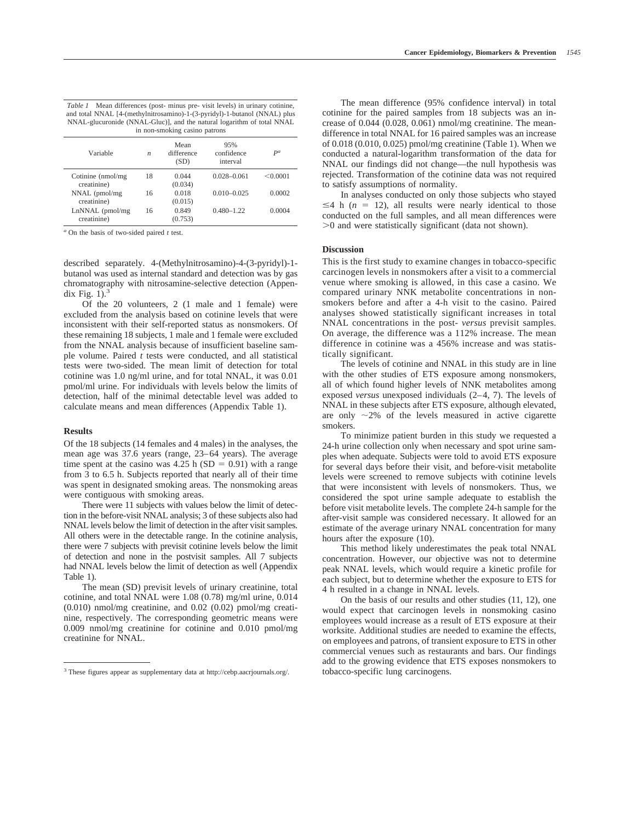| <i>Table 1</i> Mean differences (post- minus pre- visit levels) in urinary cotinine, |  |  |  |  |
|--------------------------------------------------------------------------------------|--|--|--|--|
| and total NNAL [4-(methylnitrosamino)-1-(3-pyridyl)-1-butanol (NNAL) plus            |  |  |  |  |
| NNAL-glucuronide (NNAL-Gluc), and the natural logarithm of total NNAL                |  |  |  |  |
| in non-smoking casino patrons                                                        |  |  |  |  |

| Variable                          | n  | Mean<br>difference<br>(SD) | 95%<br>confidence<br>interval | $P^a$    |
|-----------------------------------|----|----------------------------|-------------------------------|----------|
| Cotinine (nmol/mg)<br>creatinine) | 18 | 0.044<br>(0.034)           | $0.028 - 0.061$               | < 0.0001 |
| NNAL (pmol/mg)<br>creatinine)     | 16 | 0.018<br>(0.015)           | $0.010 - 0.025$               | 0.0002   |
| LnNNAL (pmol/mg)<br>creatinine)   | 16 | 0.849<br>(0.753)           | $0.480 - 1.22$                | 0.0004   |

*<sup>a</sup>* On the basis of two-sided paired *t* test.

described separately. 4-(Methylnitrosamino)-4-(3-pyridyl)-1 butanol was used as internal standard and detection was by gas chromatography with nitrosamine-selective detection (Appendix Fig.  $1$ ).<sup>3</sup>

Of the 20 volunteers, 2 (1 male and 1 female) were excluded from the analysis based on cotinine levels that were inconsistent with their self-reported status as nonsmokers. Of these remaining 18 subjects, 1 male and 1 female were excluded from the NNAL analysis because of insufficient baseline sample volume. Paired *t* tests were conducted, and all statistical tests were two-sided. The mean limit of detection for total cotinine was 1.0 ng/ml urine, and for total NNAL, it was 0.01 pmol/ml urine. For individuals with levels below the limits of detection, half of the minimal detectable level was added to calculate means and mean differences (Appendix Table 1).

#### **Results**

Of the 18 subjects (14 females and 4 males) in the analyses, the mean age was 37.6 years (range, 23–64 years). The average time spent at the casino was  $4.25$  h (SD = 0.91) with a range from 3 to 6.5 h. Subjects reported that nearly all of their time was spent in designated smoking areas. The nonsmoking areas were contiguous with smoking areas.

There were 11 subjects with values below the limit of detection in the before-visit NNAL analysis; 3 of these subjects also had NNAL levels below the limit of detection in the after visit samples. All others were in the detectable range. In the cotinine analysis, there were 7 subjects with previsit cotinine levels below the limit of detection and none in the postvisit samples. All 7 subjects had NNAL levels below the limit of detection as well (Appendix Table 1).

The mean (SD) previsit levels of urinary creatinine, total cotinine, and total NNAL were 1.08 (0.78) mg/ml urine, 0.014 (0.010) nmol/mg creatinine, and 0.02 (0.02) pmol/mg creatinine, respectively. The corresponding geometric means were 0.009 nmol/mg creatinine for cotinine and 0.010 pmol/mg creatinine for NNAL.

The mean difference (95% confidence interval) in total cotinine for the paired samples from 18 subjects was an increase of 0.044 (0.028, 0.061) nmol/mg creatinine. The meandifference in total NNAL for 16 paired samples was an increase of 0.018 (0.010, 0.025) pmol/mg creatinine (Table 1). When we conducted a natural-logarithm transformation of the data for NNAL our findings did not change—the null hypothesis was rejected. Transformation of the cotinine data was not required to satisfy assumptions of normality.

In analyses conducted on only those subjects who stayed  $\leq$ 4 h ( $n = 12$ ), all results were nearly identical to those conducted on the full samples, and all mean differences were  $>0$  and were statistically significant (data not shown).

#### **Discussion**

This is the first study to examine changes in tobacco-specific carcinogen levels in nonsmokers after a visit to a commercial venue where smoking is allowed, in this case a casino. We compared urinary NNK metabolite concentrations in nonsmokers before and after a 4-h visit to the casino. Paired analyses showed statistically significant increases in total NNAL concentrations in the post- *versus* previsit samples. On average, the difference was a 112% increase. The mean difference in cotinine was a 456% increase and was statistically significant.

The levels of cotinine and NNAL in this study are in line with the other studies of ETS exposure among nonsmokers, all of which found higher levels of NNK metabolites among exposed *versus* unexposed individuals (2–4, 7). The levels of NNAL in these subjects after ETS exposure, although elevated, are only  $\sim$ 2% of the levels measured in active cigarette smokers.

To minimize patient burden in this study we requested a 24-h urine collection only when necessary and spot urine samples when adequate. Subjects were told to avoid ETS exposure for several days before their visit, and before-visit metabolite levels were screened to remove subjects with cotinine levels that were inconsistent with levels of nonsmokers. Thus, we considered the spot urine sample adequate to establish the before visit metabolite levels. The complete 24-h sample for the after-visit sample was considered necessary. It allowed for an estimate of the average urinary NNAL concentration for many hours after the exposure (10).

This method likely underestimates the peak total NNAL concentration. However, our objective was not to determine peak NNAL levels, which would require a kinetic profile for each subject, but to determine whether the exposure to ETS for 4 h resulted in a change in NNAL levels.

On the basis of our results and other studies (11, 12), one would expect that carcinogen levels in nonsmoking casino employees would increase as a result of ETS exposure at their worksite. Additional studies are needed to examine the effects, on employees and patrons, of transient exposure to ETS in other commercial venues such as restaurants and bars. Our findings add to the growing evidence that ETS exposes nonsmokers to

<sup>&</sup>lt;sup>3</sup> These figures appear as supplementary data at http://cebp.aacrjournals.org/. tobacco-specific lung carcinogens.